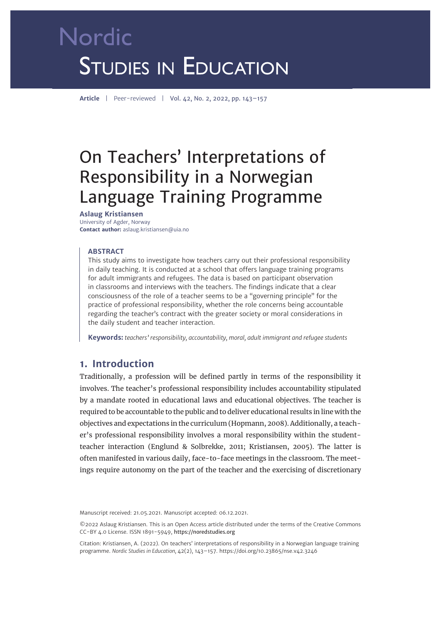# Nordic **STUDIES IN EDUCATION**

**Article** | Peer-reviewed | Vol. 42, No. 2, 2022, pp. 143–157

# On Teachers' Interpretations of Responsibility in a Norwegian Language Training Programme

**Aslaug Kristiansen** University of Agder, Norway **Contact author:** aslaug.kristiansen@uia.no

#### **ABSTRACT**

This study aims to investigate how teachers carry out their professional responsibility in daily teaching. It is conducted at a school that offers language training programs for adult immigrants and refugees. The data is based on participant observation in classrooms and interviews with the teachers. The findings indicate that a clear consciousness of the role of a teacher seems to be a "governing principle" for the practice of professional responsibility, whether the role concerns being accountable regarding the teacher's contract with the greater society or moral considerations in the daily student and teacher interaction.

**Keywords:** *teachers' responsibility, accountability, moral, adult immigrant and refugee students*

# **1. Introduction**

Traditionally, a profession will be defined partly in terms of the responsibility it involves. The teacher's professional responsibility includes accountability stipulated by a mandate rooted in educational laws and educational objectives. The teacher is required to be accountable to the public and to deliver educational results in line with the objectives and expectations in the curriculum (Hopmann, 2008). Additionally, a teacher's professional responsibility involves a moral responsibility within the studentteacher interaction (Englund & Solbrekke, 2011; Kristiansen, 2005). The latter is often manifested in various daily, face-to-face meetings in the classroom. The meetings require autonomy on the part of the teacher and the exercising of discretionary

Manuscript received: 21.05.2021. Manuscript accepted: 06.12.2021.

©2022 Aslaug Kristiansen. This is an Open Access article distributed under the terms of the Creative Commons CC-BY 4.0 License. ISSN 1891-5949, https://noredstudies.org

Citation: Kristiansen, A. (2022). On teachers' interpretations of responsibility in a Norwegian language training programme. *Nordic Studies in Education,* 42(2), 143–157. [https://doi.org/10.23865/nse.v42.3](https://doi.org/10.23865/nse.v42.3246)246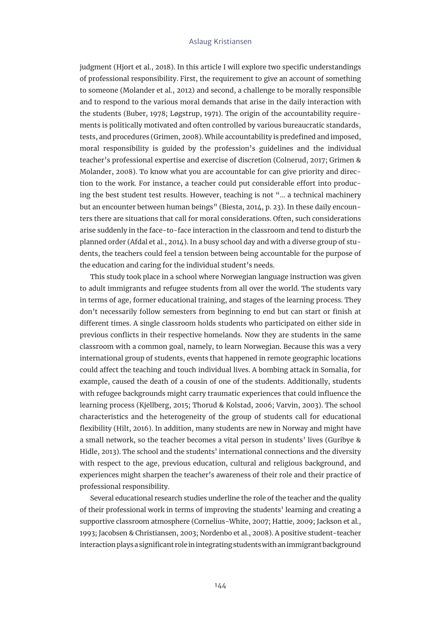judgment (Hjort et al., 2018). In this article I will explore two specific understandings of professional responsibility. First, the requirement to give an account of something to someone (Molander et al., 2012) and second, a challenge to be morally responsible and to respond to the various moral demands that arise in the daily interaction with the students (Buber, 1978; Løgstrup, 1971). The origin of the accountability requirements is politically motivated and often controlled by various bureaucratic standards, tests, and procedures (Grimen, 2008). While accountability is predefined and imposed, moral responsibility is guided by the profession's guidelines and the individual teacher's professional expertise and exercise of discretion (Colnerud, 2017; Grimen & Molander, 2008). To know what you are accountable for can give priority and direction to the work. For instance, a teacher could put considerable effort into producing the best student test results. However, teaching is not "… a technical machinery but an encounter between human beings" (Biesta, 2014, p. 23). In these daily encounters there are situations that call for moral considerations. Often, such considerations arise suddenly in the face-to-face interaction in the classroom and tend to disturb the planned order (Afdal et al., 2014). In a busy school day and with a diverse group of students, the teachers could feel a tension between being accountable for the purpose of the education and caring for the individual student's needs.

This study took place in a school where Norwegian language instruction was given to adult immigrants and refugee students from all over the world. The students vary in terms of age, former educational training, and stages of the learning process. They don't necessarily follow semesters from beginning to end but can start or finish at different times. A single classroom holds students who participated on either side in previous conflicts in their respective homelands. Now they are students in the same classroom with a common goal, namely, to learn Norwegian. Because this was a very international group of students, events that happened in remote geographic locations could affect the teaching and touch individual lives. A bombing attack in Somalia, for example, caused the death of a cousin of one of the students. Additionally, students with refugee backgrounds might carry traumatic experiences that could influence the learning process (Kjellberg, 2015; Thorud & Kolstad, 2006; Varvin, 2003). The school characteristics and the heterogeneity of the group of students call for educational flexibility (Hilt, 2016). In addition, many students are new in Norway and might have a small network, so the teacher becomes a vital person in students' lives (Guribye & Hidle, 2013). The school and the students' international connections and the diversity with respect to the age, previous education, cultural and religious background, and experiences might sharpen the teacher's awareness of their role and their practice of professional responsibility.

Several educational research studies underline the role of the teacher and the quality of their professional work in terms of improving the students' learning and creating a supportive classroom atmosphere (Cornelius-White, 2007; Hattie, 2009; Jackson et al., 1993; Jacobsen & Christiansen, 2003; Nordenbo et al., 2008). A positive student-teacher interaction plays a significant role in integrating students with an immigrant background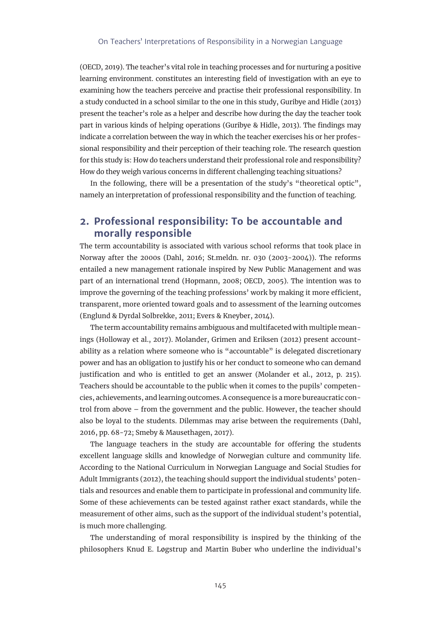(OECD, 2019). The teacher's vital role in teaching processes and for nurturing a positive learning environment. constitutes an interesting field of investigation with an eye to examining how the teachers perceive and practise their professional responsibility. In a study conducted in a school similar to the one in this study, Guribye and Hidle (2013) present the teacher's role as a helper and describe how during the day the teacher took part in various kinds of helping operations (Guribye & Hidle, 2013). The findings may indicate a correlation between the way in which the teacher exercises his or her professional responsibility and their perception of their teaching role. The research question for this study is: How do teachers understand their professional role and responsibility? How do they weigh various concerns in different challenging teaching situations?

In the following, there will be a presentation of the study's "theoretical optic", namely an interpretation of professional responsibility and the function of teaching.

# **2. Professional responsibility: To be accountable and morally responsible**

The term accountability is associated with various school reforms that took place in Norway after the 2000s (Dahl, 2016; St.meldn. nr. 030 (2003-2004)). The reforms entailed a new management rationale inspired by New Public Management and was part of an international trend (Hopmann, 2008; OECD, 2005). The intention was to improve the governing of the teaching professions' work by making it more efficient, transparent, more oriented toward goals and to assessment of the learning outcomes (Englund & Dyrdal Solbrekke, 2011; Evers & Kneyber, 2014).

The term accountability remains ambiguous and multifaceted with multiple meanings (Holloway et al., 2017). Molander, Grimen and Eriksen (2012) present accountability as a relation where someone who is "accountable" is delegated discretionary power and has an obligation to justify his or her conduct to someone who can demand justification and who is entitled to get an answer (Molander et al., 2012, p. 215). Teachers should be accountable to the public when it comes to the pupils' competencies, achievements, and learning outcomes. A consequence is a more bureaucratic control from above – from the government and the public. However, the teacher should also be loyal to the students. Dilemmas may arise between the requirements (Dahl, 2016, pp. 68-72; Smeby & Mausethagen, 2017).

The language teachers in the study are accountable for offering the students excellent language skills and knowledge of Norwegian culture and community life. According to the National Curriculum in Norwegian Language and Social Studies for Adult Immigrants (2012), the teaching should support the individual students' potentials and resources and enable them to participate in professional and community life. Some of these achievements can be tested against rather exact standards, while the measurement of other aims, such as the support of the individual student's potential, is much more challenging.

The understanding of moral responsibility is inspired by the thinking of the philosophers Knud E. Løgstrup and Martin Buber who underline the individual's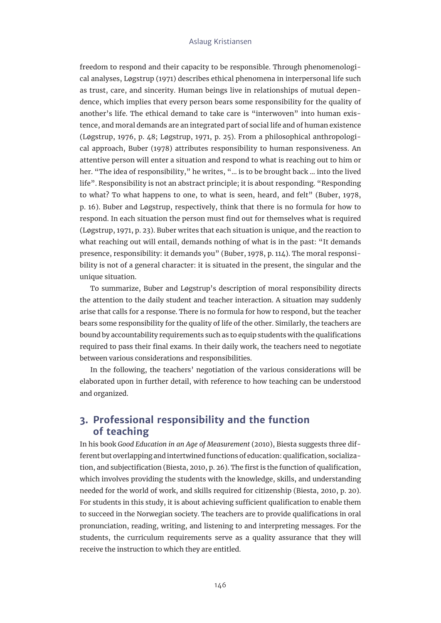freedom to respond and their capacity to be responsible. Through phenomenological analyses, Løgstrup (1971) describes ethical phenomena in interpersonal life such as trust, care, and sincerity. Human beings live in relationships of mutual dependence, which implies that every person bears some responsibility for the quality of another's life. The ethical demand to take care is "interwoven" into human existence, and moral demands are an integrated part of social life and of human existence (Løgstrup, 1976, p. 48; Løgstrup, 1971, p. 25). From a philosophical anthropological approach, Buber (1978) attributes responsibility to human responsiveness. An attentive person will enter a situation and respond to what is reaching out to him or her. "The idea of responsibility," he writes, "… is to be brought back … into the lived life". Responsibility is not an abstract principle; it is about responding. "Responding to what? To what happens to one, to what is seen, heard, and felt" (Buber, 1978, p. 16). Buber and Løgstrup, respectively, think that there is no formula for how to respond. In each situation the person must find out for themselves what is required (Løgstrup, 1971, p. 23). Buber writes that each situation is unique, and the reaction to what reaching out will entail, demands nothing of what is in the past: "It demands presence, responsibility: it demands you" (Buber, 1978, p. 114). The moral responsibility is not of a general character: it is situated in the present, the singular and the unique situation.

To summarize, Buber and Løgstrup's description of moral responsibility directs the attention to the daily student and teacher interaction. A situation may suddenly arise that calls for a response. There is no formula for how to respond, but the teacher bears some responsibility for the quality of life of the other. Similarly, the teachers are bound by accountability requirements such as to equip students with the qualifications required to pass their final exams. In their daily work, the teachers need to negotiate between various considerations and responsibilities.

In the following, the teachers' negotiation of the various considerations will be elaborated upon in further detail, with reference to how teaching can be understood and organized.

# **3. Professional responsibility and the function of teaching**

In his book *Good Education in an Age of Measurement* (2010), Biesta suggests three different but overlapping and intertwined functions of education: qualification, socialization, and subjectification (Biesta, 2010, p. 26). The first is the function of qualification, which involves providing the students with the knowledge, skills, and understanding needed for the world of work, and skills required for citizenship (Biesta, 2010, p. 20). For students in this study, it is about achieving sufficient qualification to enable them to succeed in the Norwegian society. The teachers are to provide qualifications in oral pronunciation, reading, writing, and listening to and interpreting messages. For the students, the curriculum requirements serve as a quality assurance that they will receive the instruction to which they are entitled.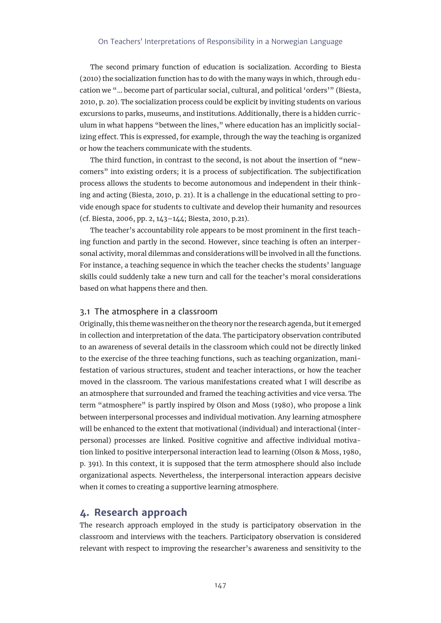#### On Teachers' Interpretations of Responsibility in a Norwegian Language

The second primary function of education is socialization. According to Biesta (2010) the socialization function has to do with the many ways in which, through education we "… become part of particular social, cultural, and political 'orders'" (Biesta, 2010, p. 20). The socialization process could be explicit by inviting students on various excursions to parks, museums, and institutions. Additionally, there is a hidden curriculum in what happens "between the lines," where education has an implicitly socializing effect. This is expressed, for example, through the way the teaching is organized or how the teachers communicate with the students.

The third function, in contrast to the second, is not about the insertion of "newcomers" into existing orders; it is a process of subjectification. The subjectification process allows the students to become autonomous and independent in their thinking and acting (Biesta, 2010, p. 21). It is a challenge in the educational setting to provide enough space for students to cultivate and develop their humanity and resources (cf. Biesta, 2006, pp. 2, 143–144; Biesta, 2010, p.21).

The teacher's accountability role appears to be most prominent in the first teaching function and partly in the second. However, since teaching is often an interpersonal activity, moral dilemmas and considerations will be involved in all the functions. For instance, a teaching sequence in which the teacher checks the students' language skills could suddenly take a new turn and call for the teacher's moral considerations based on what happens there and then.

#### 3.1 The atmosphere in a classroom

Originally, this theme was neither on the theory nor the research agenda, but it emerged in collection and interpretation of the data. The participatory observation contributed to an awareness of several details in the classroom which could not be directly linked to the exercise of the three teaching functions, such as teaching organization, manifestation of various structures, student and teacher interactions, or how the teacher moved in the classroom. The various manifestations created what I will describe as an atmosphere that surrounded and framed the teaching activities and vice versa. The term "atmosphere" is partly inspired by Olson and Moss (1980), who propose a link between interpersonal processes and individual motivation. Any learning atmosphere will be enhanced to the extent that motivational (individual) and interactional (interpersonal) processes are linked. Positive cognitive and affective individual motivation linked to positive interpersonal interaction lead to learning (Olson & Moss, 1980, p. 391). In this context, it is supposed that the term atmosphere should also include organizational aspects. Nevertheless, the interpersonal interaction appears decisive when it comes to creating a supportive learning atmosphere.

# **4. Research approach**

The research approach employed in the study is participatory observation in the classroom and interviews with the teachers. Participatory observation is considered relevant with respect to improving the researcher's awareness and sensitivity to the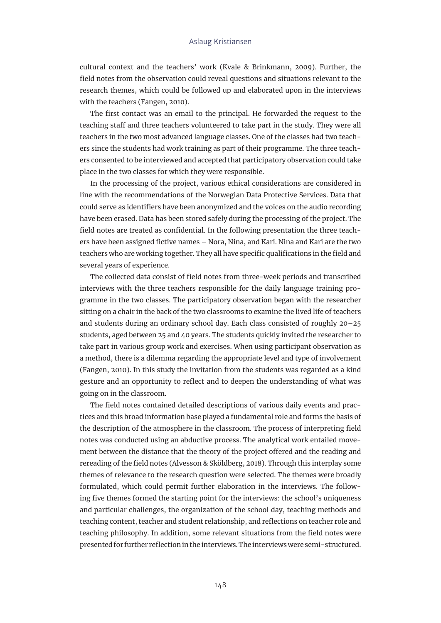cultural context and the teachers' work (Kvale & Brinkmann, 2009). Further, the field notes from the observation could reveal questions and situations relevant to the research themes, which could be followed up and elaborated upon in the interviews with the teachers (Fangen, 2010).

The first contact was an email to the principal. He forwarded the request to the teaching staff and three teachers volunteered to take part in the study. They were all teachers in the two most advanced language classes. One of the classes had two teachers since the students had work training as part of their programme. The three teachers consented to be interviewed and accepted that participatory observation could take place in the two classes for which they were responsible.

In the processing of the project, various ethical considerations are considered in line with the recommendations of the Norwegian Data Protective Services. Data that could serve as identifiers have been anonymized and the voices on the audio recording have been erased. Data has been stored safely during the processing of the project. The field notes are treated as confidential. In the following presentation the three teachers have been assigned fictive names – Nora, Nina, and Kari. Nina and Kari are the two teachers who are working together. They all have specific qualifications in the field and several years of experience.

The collected data consist of field notes from three-week periods and transcribed interviews with the three teachers responsible for the daily language training programme in the two classes. The participatory observation began with the researcher sitting on a chair in the back of the two classrooms to examine the lived life of teachers and students during an ordinary school day. Each class consisted of roughly 20–25 students, aged between 25 and 40 years. The students quickly invited the researcher to take part in various group work and exercises. When using participant observation as a method, there is a dilemma regarding the appropriate level and type of involvement (Fangen, 2010). In this study the invitation from the students was regarded as a kind gesture and an opportunity to reflect and to deepen the understanding of what was going on in the classroom.

The field notes contained detailed descriptions of various daily events and practices and this broad information base played a fundamental role and forms the basis of the description of the atmosphere in the classroom. The process of interpreting field notes was conducted using an abductive process. The analytical work entailed movement between the distance that the theory of the project offered and the reading and rereading of the field notes (Alvesson & Sköldberg, 2018). Through this interplay some themes of relevance to the research question were selected. The themes were broadly formulated, which could permit further elaboration in the interviews. The following five themes formed the starting point for the interviews: the school's uniqueness and particular challenges, the organization of the school day, teaching methods and teaching content, teacher and student relationship, and reflections on teacher role and teaching philosophy. In addition, some relevant situations from the field notes were presented for further reflection in the interviews. The interviews were semi-structured.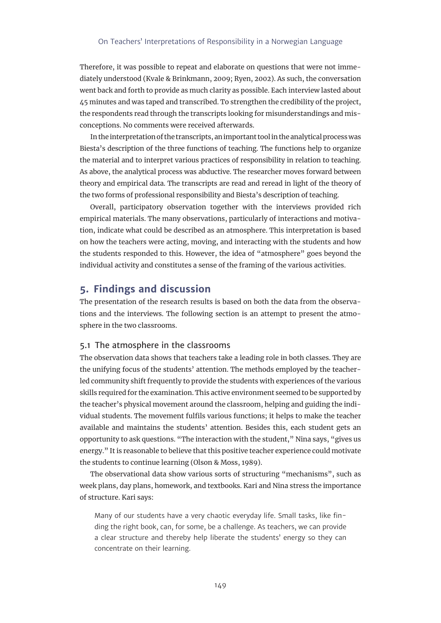Therefore, it was possible to repeat and elaborate on questions that were not immediately understood (Kvale & Brinkmann, 2009; Ryen, 2002). As such, the conversation went back and forth to provide as much clarity as possible. Each interview lasted about 45 minutes and was taped and transcribed. To strengthen the credibility of the project, the respondents read through the transcripts looking for misunderstandings and misconceptions. No comments were received afterwards.

In the interpretation of the transcripts, an important tool in the analytical process was Biesta's description of the three functions of teaching. The functions help to organize the material and to interpret various practices of responsibility in relation to teaching. As above, the analytical process was abductive. The researcher moves forward between theory and empirical data. The transcripts are read and reread in light of the theory of the two forms of professional responsibility and Biesta's description of teaching.

Overall, participatory observation together with the interviews provided rich empirical materials. The many observations, particularly of interactions and motivation, indicate what could be described as an atmosphere. This interpretation is based on how the teachers were acting, moving, and interacting with the students and how the students responded to this. However, the idea of "atmosphere" goes beyond the individual activity and constitutes a sense of the framing of the various activities.

# **5. Findings and discussion**

The presentation of the research results is based on both the data from the observations and the interviews. The following section is an attempt to present the atmosphere in the two classrooms.

#### 5.1 The atmosphere in the classrooms

The observation data shows that teachers take a leading role in both classes. They are the unifying focus of the students' attention. The methods employed by the teacherled community shift frequently to provide the students with experiences of the various skills required for the examination. This active environment seemed to be supported by the teacher's physical movement around the classroom, helping and guiding the individual students. The movement fulfils various functions; it helps to make the teacher available and maintains the students' attention. Besides this, each student gets an opportunity to ask questions. "The interaction with the student," Nina says, "gives us energy." It is reasonable to believe that this positive teacher experience could motivate the students to continue learning (Olson & Moss, 1989).

The observational data show various sorts of structuring "mechanisms", such as week plans, day plans, homework, and textbooks. Kari and Nina stress the importance of structure. Kari says:

Many of our students have a very chaotic everyday life. Small tasks, like finding the right book, can, for some, be a challenge. As teachers, we can provide a clear structure and thereby help liberate the students' energy so they can concentrate on their learning.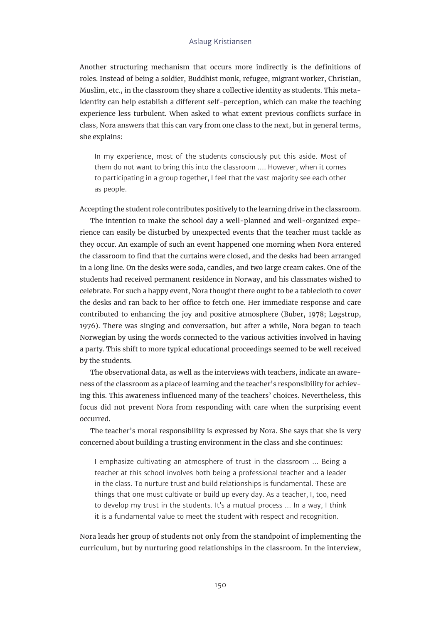Another structuring mechanism that occurs more indirectly is the definitions of roles. Instead of being a soldier, Buddhist monk, refugee, migrant worker, Christian, Muslim, etc., in the classroom they share a collective identity as students. This metaidentity can help establish a different self-perception, which can make the teaching experience less turbulent. When asked to what extent previous conflicts surface in class, Nora answers that this can vary from one class to the next, but in general terms, she explains:

In my experience, most of the students consciously put this aside. Most of them do not want to bring this into the classroom …. However, when it comes to participating in a group together, I feel that the vast majority see each other as people.

Accepting the student role contributes positively to the learning drive in the classroom.

The intention to make the school day a well-planned and well-organized experience can easily be disturbed by unexpected events that the teacher must tackle as they occur. An example of such an event happened one morning when Nora entered the classroom to find that the curtains were closed, and the desks had been arranged in a long line. On the desks were soda, candles, and two large cream cakes. One of the students had received permanent residence in Norway, and his classmates wished to celebrate. For such a happy event, Nora thought there ought to be a tablecloth to cover the desks and ran back to her office to fetch one. Her immediate response and care contributed to enhancing the joy and positive atmosphere (Buber, 1978; Løgstrup, 1976). There was singing and conversation, but after a while, Nora began to teach Norwegian by using the words connected to the various activities involved in having a party. This shift to more typical educational proceedings seemed to be well received by the students.

The observational data, as well as the interviews with teachers, indicate an awareness of the classroom as a place of learning and the teacher's responsibility for achieving this. This awareness influenced many of the teachers' choices. Nevertheless, this focus did not prevent Nora from responding with care when the surprising event occurred.

The teacher's moral responsibility is expressed by Nora. She says that she is very concerned about building a trusting environment in the class and she continues:

I emphasize cultivating an atmosphere of trust in the classroom … Being a teacher at this school involves both being a professional teacher and a leader in the class. To nurture trust and build relationships is fundamental. These are things that one must cultivate or build up every day. As a teacher, I, too, need to develop my trust in the students. It's a mutual process … In a way, I think it is a fundamental value to meet the student with respect and recognition.

Nora leads her group of students not only from the standpoint of implementing the curriculum, but by nurturing good relationships in the classroom. In the interview,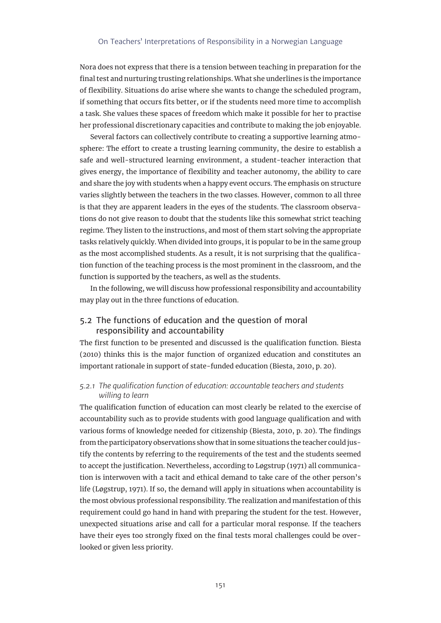Nora does not express that there is a tension between teaching in preparation for the final test and nurturing trusting relationships. What she underlines is the importance of flexibility. Situations do arise where she wants to change the scheduled program, if something that occurs fits better, or if the students need more time to accomplish a task. She values these spaces of freedom which make it possible for her to practise her professional discretionary capacities and contribute to making the job enjoyable.

Several factors can collectively contribute to creating a supportive learning atmosphere: The effort to create a trusting learning community, the desire to establish a safe and well-structured learning environment, a student-teacher interaction that gives energy, the importance of flexibility and teacher autonomy, the ability to care and share the joy with students when a happy event occurs. The emphasis on structure varies slightly between the teachers in the two classes. However, common to all three is that they are apparent leaders in the eyes of the students. The classroom observations do not give reason to doubt that the students like this somewhat strict teaching regime. They listen to the instructions, and most of them start solving the appropriate tasks relatively quickly. When divided into groups, it is popular to be in the same group as the most accomplished students. As a result, it is not surprising that the qualification function of the teaching process is the most prominent in the classroom, and the function is supported by the teachers, as well as the students.

In the following, we will discuss how professional responsibility and accountability may play out in the three functions of education.

### 5.2 The functions of education and the question of moral responsibility and accountability

The first function to be presented and discussed is the qualification function. Biesta (2010) thinks this is the major function of organized education and constitutes an important rationale in support of state-funded education (Biesta, 2010, p. 20).

#### *5.2.1 The qualification function of education: accountable teachers and students willing to learn*

The qualification function of education can most clearly be related to the exercise of accountability such as to provide students with good language qualification and with various forms of knowledge needed for citizenship (Biesta, 2010, p. 20). The findings from the participatory observations show that in some situations the teacher could justify the contents by referring to the requirements of the test and the students seemed to accept the justification. Nevertheless, according to Løgstrup (1971) all communication is interwoven with a tacit and ethical demand to take care of the other person's life (Løgstrup, 1971). If so, the demand will apply in situations when accountability is the most obvious professional responsibility. The realization and manifestation of this requirement could go hand in hand with preparing the student for the test. However, unexpected situations arise and call for a particular moral response. If the teachers have their eyes too strongly fixed on the final tests moral challenges could be overlooked or given less priority.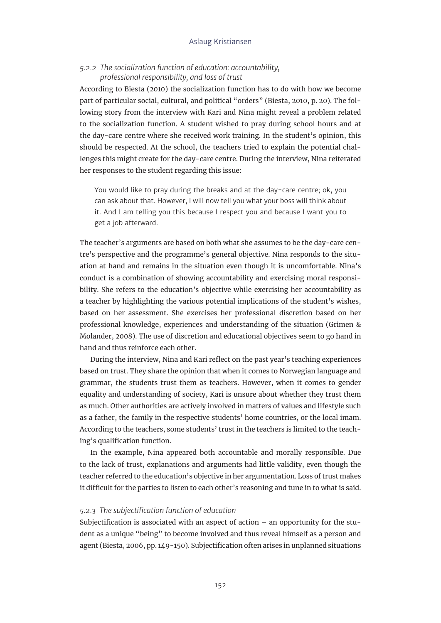#### *5.2.2 The socialization function of education: accountability, professional responsibility, and loss of trust*

According to Biesta (2010) the socialization function has to do with how we become part of particular social, cultural, and political "orders" (Biesta, 2010, p. 20). The following story from the interview with Kari and Nina might reveal a problem related to the socialization function. A student wished to pray during school hours and at the day-care centre where she received work training. In the student's opinion, this should be respected. At the school, the teachers tried to explain the potential challenges this might create for the day-care centre. During the interview, Nina reiterated her responses to the student regarding this issue:

You would like to pray during the breaks and at the day-care centre; ok, you can ask about that. However, I will now tell you what your boss will think about it. And I am telling you this because I respect you and because I want you to get a job afterward.

The teacher's arguments are based on both what she assumes to be the day-care centre's perspective and the programme's general objective. Nina responds to the situation at hand and remains in the situation even though it is uncomfortable. Nina's conduct is a combination of showing accountability and exercising moral responsibility. She refers to the education's objective while exercising her accountability as a teacher by highlighting the various potential implications of the student's wishes, based on her assessment. She exercises her professional discretion based on her professional knowledge, experiences and understanding of the situation (Grimen & Molander, 2008). The use of discretion and educational objectives seem to go hand in hand and thus reinforce each other.

During the interview, Nina and Kari reflect on the past year's teaching experiences based on trust. They share the opinion that when it comes to Norwegian language and grammar, the students trust them as teachers. However, when it comes to gender equality and understanding of society, Kari is unsure about whether they trust them as much. Other authorities are actively involved in matters of values and lifestyle such as a father, the family in the respective students' home countries, or the local imam. According to the teachers, some students' trust in the teachers is limited to the teaching's qualification function.

In the example, Nina appeared both accountable and morally responsible. Due to the lack of trust, explanations and arguments had little validity, even though the teacher referred to the education's objective in her argumentation. Loss of trust makes it difficult for the parties to listen to each other's reasoning and tune in to what is said.

#### *5.2.3 The subjectification function of education*

Subjectification is associated with an aspect of action – an opportunity for the student as a unique "being" to become involved and thus reveal himself as a person and agent (Biesta, 2006, pp. 149-150). Subjectification often arises in unplanned situations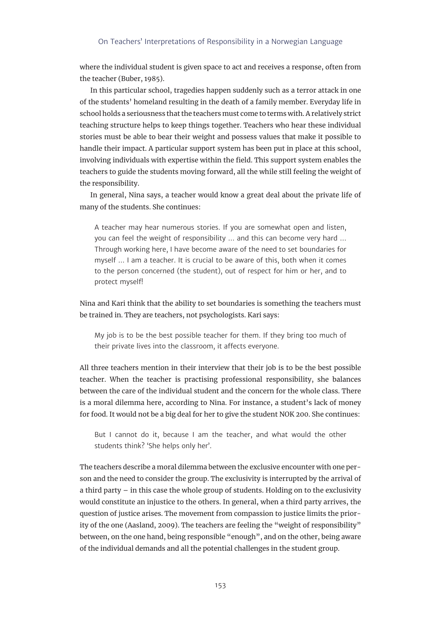#### On Teachers' Interpretations of Responsibility in a Norwegian Language

where the individual student is given space to act and receives a response, often from the teacher (Buber, 1985).

In this particular school, tragedies happen suddenly such as a terror attack in one of the students' homeland resulting in the death of a family member. Everyday life in school holds a seriousness that the teachers must come to terms with. A relatively strict teaching structure helps to keep things together. Teachers who hear these individual stories must be able to bear their weight and possess values that make it possible to handle their impact. A particular support system has been put in place at this school, involving individuals with expertise within the field. This support system enables the teachers to guide the students moving forward, all the while still feeling the weight of the responsibility.

In general, Nina says, a teacher would know a great deal about the private life of many of the students. She continues:

A teacher may hear numerous stories. If you are somewhat open and listen, you can feel the weight of responsibility … and this can become very hard … Through working here, I have become aware of the need to set boundaries for myself … I am a teacher. It is crucial to be aware of this, both when it comes to the person concerned (the student), out of respect for him or her, and to protect myself!

Nina and Kari think that the ability to set boundaries is something the teachers must be trained in. They are teachers, not psychologists. Kari says:

My job is to be the best possible teacher for them. If they bring too much of their private lives into the classroom, it affects everyone.

All three teachers mention in their interview that their job is to be the best possible teacher. When the teacher is practising professional responsibility, she balances between the care of the individual student and the concern for the whole class. There is a moral dilemma here, according to Nina. For instance, a student's lack of money for food. It would not be a big deal for her to give the student NOK 200. She continues:

But I cannot do it, because I am the teacher, and what would the other students think? 'She helps only her'.

The teachers describe a moral dilemma between the exclusive encounter with one person and the need to consider the group. The exclusivity is interrupted by the arrival of a third party – in this case the whole group of students. Holding on to the exclusivity would constitute an injustice to the others. In general, when a third party arrives, the question of justice arises. The movement from compassion to justice limits the priority of the one (Aasland, 2009). The teachers are feeling the "weight of responsibility" between, on the one hand, being responsible "enough", and on the other, being aware of the individual demands and all the potential challenges in the student group.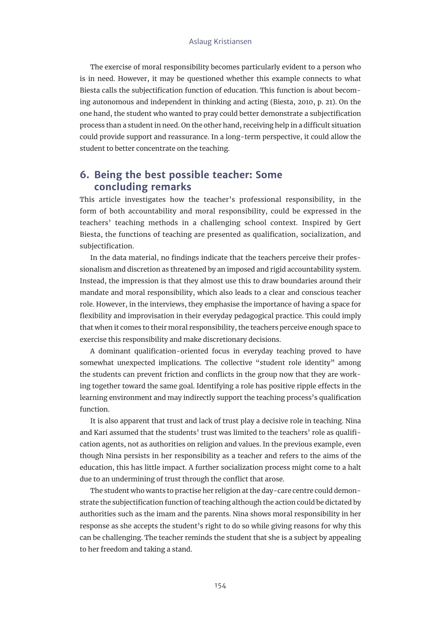The exercise of moral responsibility becomes particularly evident to a person who is in need. However, it may be questioned whether this example connects to what Biesta calls the subjectification function of education. This function is about becoming autonomous and independent in thinking and acting (Biesta, 2010, p. 21). On the one hand, the student who wanted to pray could better demonstrate a subjectification process than a student in need. On the other hand, receiving help in a difficult situation could provide support and reassurance. In a long-term perspective, it could allow the student to better concentrate on the teaching.

# **6. Being the best possible teacher: Some concluding remarks**

This article investigates how the teacher's professional responsibility, in the form of both accountability and moral responsibility, could be expressed in the teachers' teaching methods in a challenging school context. Inspired by Gert Biesta, the functions of teaching are presented as qualification, socialization, and subjectification.

In the data material, no findings indicate that the teachers perceive their professionalism and discretion as threatened by an imposed and rigid accountability system. Instead, the impression is that they almost use this to draw boundaries around their mandate and moral responsibility, which also leads to a clear and conscious teacher role. However, in the interviews, they emphasise the importance of having a space for flexibility and improvisation in their everyday pedagogical practice. This could imply that when it comes to their moral responsibility, the teachers perceive enough space to exercise this responsibility and make discretionary decisions.

A dominant qualification-oriented focus in everyday teaching proved to have somewhat unexpected implications. The collective "student role identity" among the students can prevent friction and conflicts in the group now that they are working together toward the same goal. Identifying a role has positive ripple effects in the learning environment and may indirectly support the teaching process's qualification function.

It is also apparent that trust and lack of trust play a decisive role in teaching. Nina and Kari assumed that the students' trust was limited to the teachers' role as qualification agents, not as authorities on religion and values. In the previous example, even though Nina persists in her responsibility as a teacher and refers to the aims of the education, this has little impact. A further socialization process might come to a halt due to an undermining of trust through the conflict that arose.

The student who wants to practise her religion at the day-care centre could demonstrate the subjectification function of teaching although the action could be dictated by authorities such as the imam and the parents. Nina shows moral responsibility in her response as she accepts the student's right to do so while giving reasons for why this can be challenging. The teacher reminds the student that she is a subject by appealing to her freedom and taking a stand.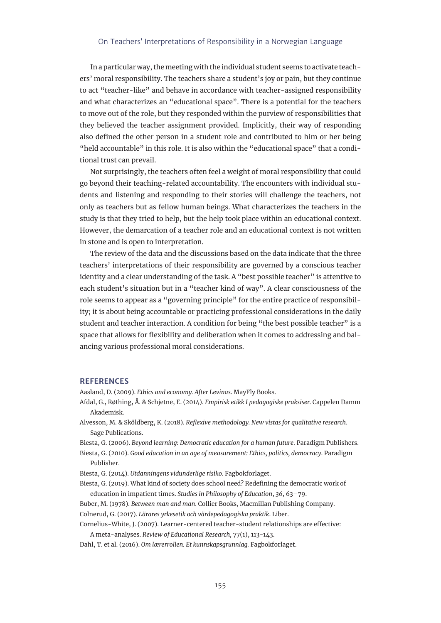In a particular way, the meeting with the individual student seems to activate teachers' moral responsibility. The teachers share a student's joy or pain, but they continue to act "teacher-like" and behave in accordance with teacher-assigned responsibility and what characterizes an "educational space". There is a potential for the teachers to move out of the role, but they responded within the purview of responsibilities that they believed the teacher assignment provided. Implicitly, their way of responding also defined the other person in a student role and contributed to him or her being "held accountable" in this role. It is also within the "educational space" that a conditional trust can prevail.

Not surprisingly, the teachers often feel a weight of moral responsibility that could go beyond their teaching-related accountability. The encounters with individual students and listening and responding to their stories will challenge the teachers, not only as teachers but as fellow human beings. What characterizes the teachers in the study is that they tried to help, but the help took place within an educational context. However, the demarcation of a teacher role and an educational context is not written in stone and is open to interpretation.

The review of the data and the discussions based on the data indicate that the three teachers' interpretations of their responsibility are governed by a conscious teacher identity and a clear understanding of the task. A "best possible teacher" is attentive to each student's situation but in a "teacher kind of way". A clear consciousness of the role seems to appear as a "governing principle" for the entire practice of responsibility; it is about being accountable or practicing professional considerations in the daily student and teacher interaction. A condition for being "the best possible teacher" is a space that allows for flexibility and deliberation when it comes to addressing and balancing various professional moral considerations.

#### **REFERENCES**

Aasland, D. (2009). *Ethics and economy. After Levinas*. MayFly Books.

- Afdal, G., Røthing, Å. & Schjetne, E. (2014). *Empirisk etikk I pedagogiske praksiser.* Cappelen Damm Akademisk.
- Alvesson, M. & Sköldberg, K. (2018). *Reflexive methodology. New vistas for qualitative research*. Sage Publications.
- Biesta, G. (2006). *Beyond learning: Democratic education for a human future*. Paradigm Publishers.
- Biesta, G. (2010). *Good education in an age of measurement: Ethics, politics, democracy*. Paradigm Publisher.
- Biesta, G. (2014). *Utdanningens vidunderlige risiko*. Fagbokforlaget.
- Biesta, G. (2019). What kind of society does school need? Redefining the democratic work of education in impatient times. *Studies in Philosophy of Education*, *36*, 63–79.
- Buber, M. (1978). *Between man and man*. Collier Books, Macmillan Publishing Company.
- Colnerud, G. (2017). *Lärares yrkesetik och värdepedagogiska praktik*. Liber.

Cornelius-White, J. (2007). Learner-centered teacher-student relationships are effective:

A meta-analyses. *Review of Educational Research,* 77(1), 113-143.

Dahl, T. et al. (2016). *Om lærerrollen. Et kunnskapsgrunnlag.* Fagbokforlaget.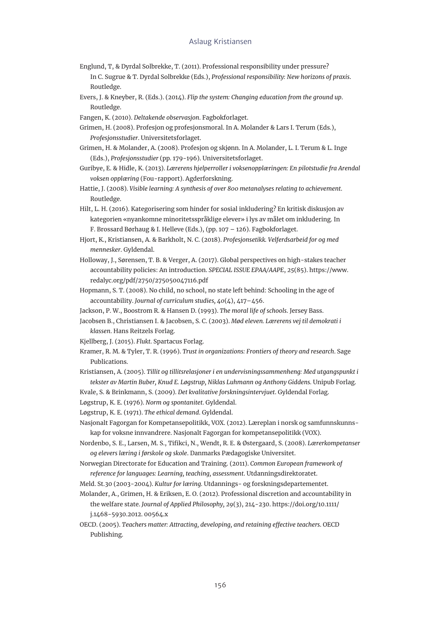- Englund, T, & Dyrdal Solbrekke, T. (2011). Professional responsibility under pressure? In C. Sugrue & T. Dyrdal Solbrekke (Eds.), *Professional responsibility: New horizons of praxis*. Routledge.
- Evers, J. & Kneyber, R. (Eds.). (2014). *Flip the system: Changing education from the ground up*. Routledge.
- Fangen, K. (2010). *Deltakende observasjon*. Fagbokforlaget.
- Grimen, H. (2008). Profesjon og profesjonsmoral. In A. Molander & Lars I. Terum (Eds.), *Profesjonsstudier*. Universitetsforlaget.
- Grimen, H. & Molander, A. (2008). Profesjon og skjønn. In A. Molander, L. I. Terum & L. Inge (Eds.), *Profesjonsstudier* (pp. 179-196). Universitetsforlaget.
- Guribye, E. & Hidle, K. (2013). *Lærerens hjelperroller i voksenopplæringen: En pilotstudie fra Arendal voksen opplæring* (Fou-rapport). Agderforskning.
- Hattie, J. (2008). *Visible learning: A synthesis of over 800 metanalyses relating to achievement*. Routledge.
- Hilt, L. H. (2016). Kategorisering som hinder for sosial inkludering? En kritisk diskusjon av kategorien «nyankomne minoritetsspråklige elever» i lys av målet om inkludering. In F. Brossard Børhaug & I. Helleve (Eds.), (pp. 107 – 126). Fagbokforlaget.
- Hjort, K., Kristiansen, A. & Barkholt, N. C. (2018). *Profesjonsetikk. Velferdsarbeid for og med mennesker*. Gyldendal.
- Holloway, J., Sørensen, T. B. & Verger, A. (2017). Global perspectives on high-stakes teacher accountability policies: An introduction. *SPECIAL ISSUE EPAA/AAPE*, *25*(85). [https://www.](https://www.redalyc.org/pdf/2750/275050047116.pdf) [redalyc.org/pdf/2750/275050047116.pdf](https://www.redalyc.org/pdf/2750/275050047116.pdf)
- Hopmann, S. T. (2008). No child, no school, no state left behind: Schooling in the age of accountability. *Journal of curriculum studies, 40*(4), 417–456.
- Jackson, P. W., Boostrom R. & Hansen D. (1993). *The moral life of schools*. Jersey Bass.
- Jacobsen B., Christiansen I. & Jacobsen, S. C. (2003). *Mød eleven. Lærerens vej til demokrati i klassen*. Hans Reitzels Forlag.
- Kjellberg, J. (2015). *Flukt*. Spartacus Forlag.
- Kramer, R. M. & Tyler, T. R. (1996). *Trust in organizations: Frontiers of theory and research*. Sage Publications.
- Kristiansen, A. (2005). *Tillit og tillitsrelasjoner i en undervisningssammenheng: Med utgangspunkt i tekster av Martin Buber, Knud E. Løgstrup, Niklas Luhmann og Anthony Giddens.* Unipub Forlag.
- Kvale, S. & Brinkmann, S. (2009). *Det kvalitative forskningsintervjuet*. Gyldendal Forlag.
- Løgstrup, K. E. (1976). *Norm og spontanitet*. Gyldendal.
- Løgstrup, K. E. (1971). *The ethical demand*. Gyldendal.
- Nasjonalt Fagorgan for Kompetansepolitikk, VOX. (2012). Læreplan i norsk og samfunnskunnskap for voksne innvandrere. Nasjonalt Fagorgan for kompetansepolitikk (VOX).
- Nordenbo, S. E., Larsen, M. S., Tifikci, N., Wendt, R. E. & Østergaard, S. (2008). *Lærerkompetanser og elevers læring i førskole og skole*. Danmarks Pædagogiske Universitet.
- Norwegian Directorate for Education and Training. (2011). *Common European framework of reference for languages: Learning, teaching, assessment*. Utdanningsdirektoratet.
- Meld. St.30 (2003-2004). *Kultur for læring.* Utdannings- og forskningsdepartementet.
- Molander, A., Grimen, H. & Eriksen, E. O. (2012). Professional discretion and accountability in the welfare state. *Journal of Applied Philosophy, 29*(3), 214-230. [https://doi.org/10.1111/](https://doi.org/10.1111/j.1468-5930.2012. 00564.x) [j.1468-5930.2012. 00564.x](https://doi.org/10.1111/j.1468-5930.2012. 00564.x)
- OECD. (2005). *Teachers matter: Attracting, developing, and retaining effective teachers*. OECD Publishing.